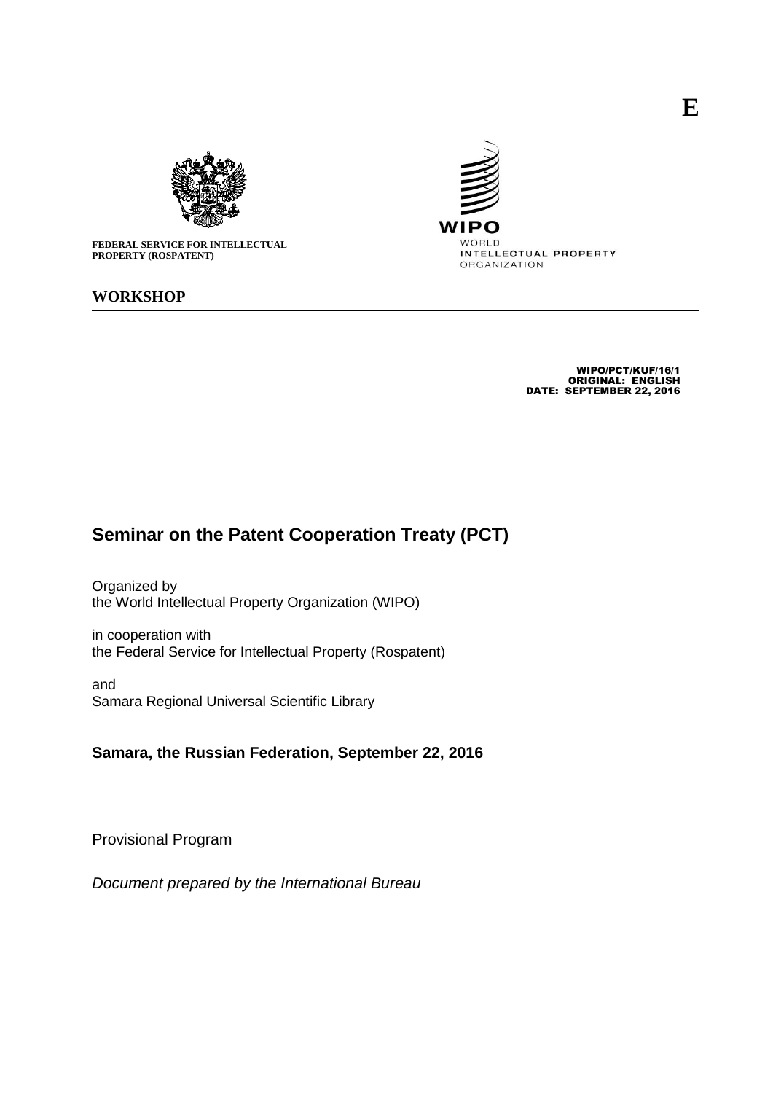



**FEDERAL SERVICE FOR INTELLECTUAL PROPERTY (ROSPATENT)**

## **WORKSHOP**

WIPO/PCT/KUF/16/1 ORIGINAL: ENGLISH DATE: SEPTEMBER 22, 2016

## **Seminar on the Patent Cooperation Treaty (PCT)**

Organized by the World Intellectual Property Organization (WIPO)

in cooperation with the Federal Service for Intellectual Property (Rospatent)

and Samara Regional Universal Scientific Library

## **Samara, the Russian Federation, September 22, 2016**

Provisional Program

*Document prepared by the International Bureau*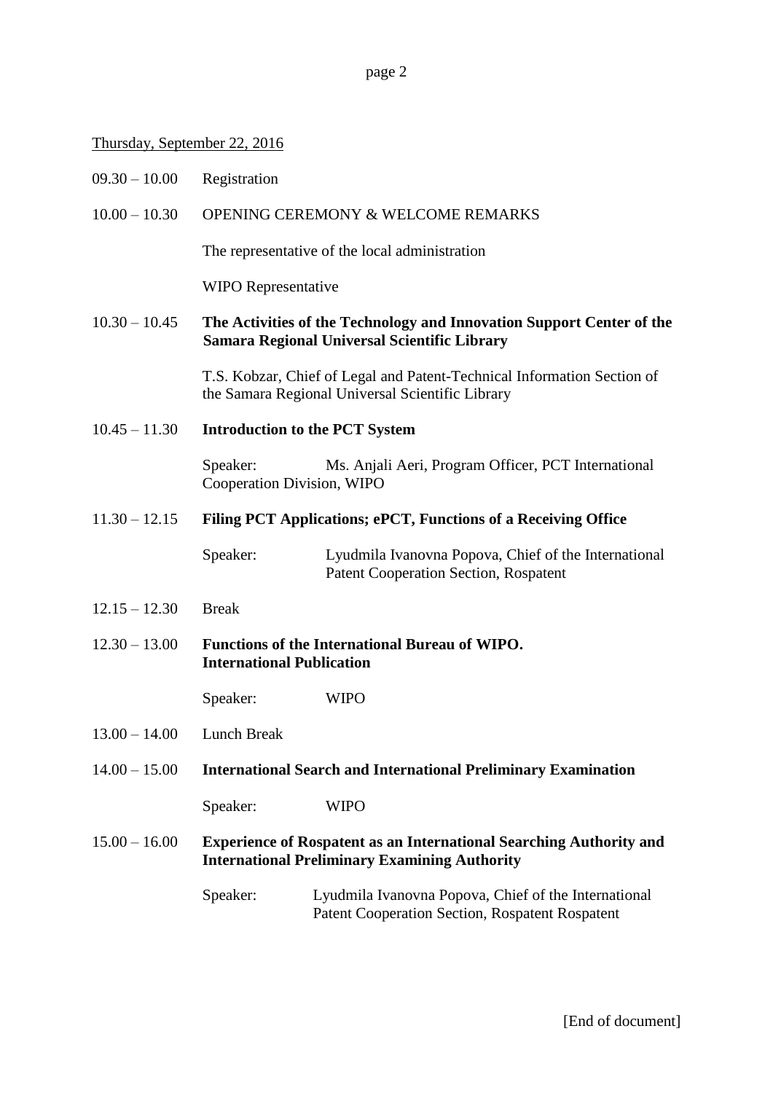page 2

## Thursday, September 22, 2016

- 09.30 10.00 Registration
- 10.00 10.30 OPENING CEREMONY & WELCOME REMARKS

The representative of the local administration

WIPO Representative

10.30 – 10.45 **The Activities of the Technology and Innovation Support Center of the Samara Regional Universal Scientific Library**

> T.S. Kobzar, Chief of Legal and Patent-Technical Information Section of the Samara Regional Universal Scientific Library

10.45 – 11.30 **Introduction to the PCT System**

Speaker: Ms. Anjali Aeri, Program Officer, PCT International Cooperation Division, WIPO

11.30 – 12.15 **Filing PCT Applications; ePCT, Functions of a Receiving Office**

Speaker: Lyudmila Ivanovna Popova, Chief of the International Patent Cooperation Section, Rospatent

- 12.15 12.30 Break
- 12.30 13.00 **Functions of the International Bureau of WIPO. International Publication**

Speaker: WIPO

- 13.00 14.00 Lunch Break
- 14.00 15.00 **International Search and International Preliminary Examination**

Speaker: WIPO

15.00 – 16.00 **Experience of Rospatent as an International Searching Authority and International Preliminary Examining Authority**

> Speaker: Lyudmila Ivanovna Popova, Chief of the International Patent Cooperation Section, Rospatent Rospatent